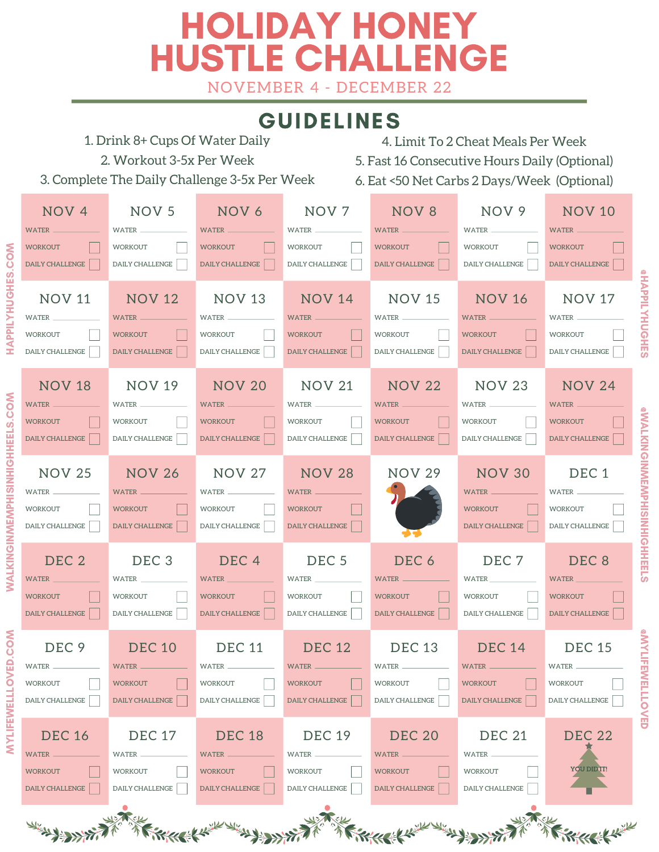# HOLIDAY HONEY HUSTLE CHALLENGE

NOVEMBER 4 - DECEMBER 22

### GUIDELINES



MYL

IFEWEL $\overline{\phantom{a}}$  $\overline{\phantom{a}}$ 

 $\mathsf{\Omega}$ 

WA $\overline{\phantom{a}}$ KIN

NH

HHE $\overline{\phantom{a}}$ 

HA $\mathbf{r}$  $\mathbf{r}$  $\overline{\phantom{a}}$  $\succ$ H

HE

L ທ່